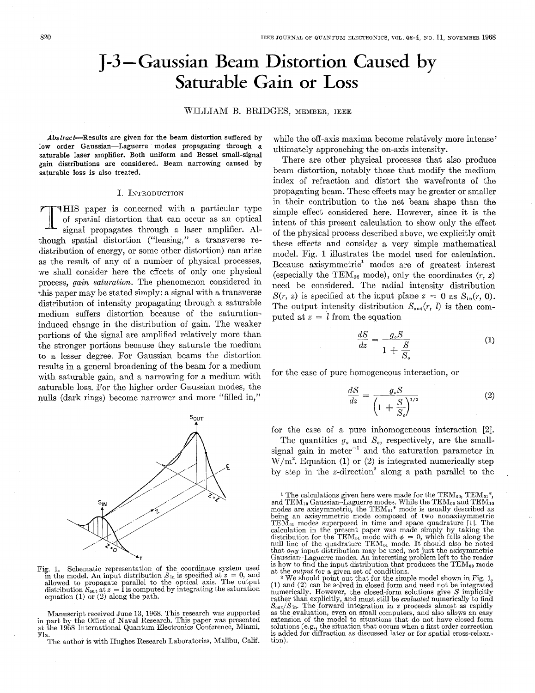# **J-3** -Gaussian Beam Distortion Caused by Saturable Gain or **Loss**

## WILLIAM B. BRIDGES, MEMBER, IEEE

Abstract-Results are given for the beam distortion suffered by **low** order Gaussian-Laguerre modes propagating through a saturable laser amplifier. Both uniform and Bessel small-signal gain distributions are considered. Beam narrowing caused by saturable loss is also treated.

#### I. INTRODUCTION

HIS paper is concerned with a particular type of spatial distortion that can occur as an optical signal propagates through a laser amplifier. Although spatial distortion ("lensing," a transverse redistribution of energy, or some other distortion) can arise as the result of any of a number of physical processes, we shall consider here the effects of only one physical process, *gain saturation.* The phenomenon considered in this paper may be stated simply: a signal with a transverse distribution of intensity propagating through a saturable medium suffers distortion because of the saturationinduced change in the distribution of gain. The weaker portions of the signal are amplified relatively more than the stronger portions because they saturate the medium to a lesser degree. For Gaussian beams the distortion results in a general broadening of the beam for a medium with saturable gain, and a narrowing for a medium with saturable loss. For the higher order Gaussian modes, the nulls (dark rings) become narrower and more "filled in,"



Fig. 1. Schematic representation of the coordinate system used in the model. An input distribution  $S_{\text{in}}$  is specified at  $z = 0$ , and allowed to propagate parallel to the optical axis. The output distribution  $S_{\text{out}}$  at  $z = 1$  is computed by integrating the saturation equation (

in part by the Office of Naval Research. This paper was presented Manuscript received June **13,** 1968. This research was supported at the 1968 International Quantum Electronics Conference, Miami, Fla.

The author is with Hughes Research Laboratories, Malibu, Calif.

while the off-axis maxima become relatively more intense' ultimately approaching the on-axis intensity.

There are other physical processes that also produce beam distortion, notably those that modify the medium index of refraction and distort the wavefronts of the propagating beam. These effects may be greater or smaller in their contribution to the net beam shape than the simple effect considered here. However, since it is the intent of this present calculation to show only the effect of the physical process described above, we explicitly omit these effects and consider a very simple mathematical model. Fig. **1** illustrates the model used for calculation. Because axisymmetric' modes are of greatest interest (especially the TEM<sub>00</sub> mode), only the coordinates  $(r, z)$ need be considered. The radial intensity distribution  $S(r, z)$  is specified at the input plane  $z = 0$  as  $S_{in}(r, 0)$ . The output intensity distribution  $S_{\text{out}}(r, l)$  is then computed at  $z = l$  from the equation<br>  $\frac{dS}{dz} = \frac{g_s S}{1 + \frac{S}{z}}$  (1) puted at  $z = l$  from the equation

$$
\frac{dS}{dz} = \frac{g_s S}{1 + \frac{S}{S_s}}
$$
 (1)

for the case of pure homogeneous interaction, or  
\n
$$
\frac{dS}{dz} = \frac{g_s S}{\left(1 + \frac{S}{S_s}\right)^{1/2}}
$$
\n(2)

for the case of a pure inhomogeneous interaction *[2].* 

The quantities  $g_{\rho}$  and  $S_{\rho}$ , respectively, are the smallsignal gain in meter<sup>-1</sup> and the saturation parameter in  $W/m<sup>2</sup>$ . Equation (1) or (2) is integrated numerically step by step in the  $z$ -direction<sup>2</sup> along a path parallel to the

(1) and *(2)* can be solved in closed form and need not be integrated **<sup>2</sup>**We should point out that for the simple model shown in Fig. 1, numerically. However, the closed-form solutions give *S* implicitly rather than explicitly, and must still be *evaluated* numerically to find  $S_{\text{out}}/S_{\text{in}}$ . The forward integration in *z* proceeds almost as rapidly as the evaluation, even on small computers, and also allows an easy extension of the model to situations that do not have closed form solutions (e.g., the situation that occurs when a first order correction is added for diffraction as discussed later or for spatial cross-relaxation).

<sup>&</sup>lt;sup>1</sup> The calculations given here were made for the TEM<sub>00</sub>, TEM<sub>01</sub><sup>\*</sup>, and TEM<sub>10</sub> Gaussian–Laguerre modes. While the TEM<sub>00</sub> and TEM<sub>10</sub> modes are axisymmetric, the TEM $_{01}$ <sup>\*</sup> mode is usually described as being an axisymmetric mode composed of two nonaxisymmetric TEM $_{01}$  modes superposed in time and space quadrature [I]. The calculation in the present paper was made simply by taking the distribution for the TEM<sub>01</sub> mode with  $\phi = 0$ , which falls along the null line of the quadrature TEM<sub>01</sub> mode. It should also be noted that *any* input distribution may be used, not just the axisymmetric Gaussian-Laguerre modes. An interesting problem left to the reader is how to find the input distribution that produces the  $TEM_{00}$  mode at the *output* for a given set of conditions.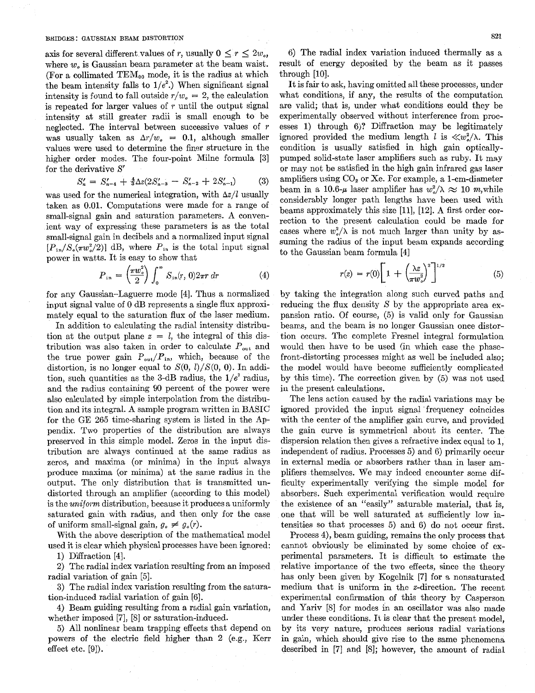#### BRIDGES: GAUSSIAN BEAM DISTORTION

axis for several different values of *r*, usually  $0 \le r \le 2w_o$ , where *w,* is Gaussian beam parameter at the beam waist. (For a collimated  $TEM_{00}$  mode, it is the radius at which the beam intensity falls to  $1/e^2$ .) When significant signal intensity is found to fall outside  $r/w<sub>e</sub> = 2$ , the calculation is repeated for larger values of *r* until the output signal intensity at still greater radii is small enough to be neglected. The interval between successive values of *r*  was usually taken as  $\Delta r/w_e = 0.1$ , although smaller values were used to determine the finer structure in the higher order modes. The four-point Milne formula [3] for the derivative *Sf* 

$$
S_n' = S_{n-4}' + \frac{4}{3} \Delta z (2S_{n-3}' - S_{n-2}' + 2S_{n-1}') \tag{3}
$$

was used for the numerical integration, with  $\Delta z/l$  usually taken as 0.01. Computations were made for a range of small-signal gain and saturation parameters. **A** convenient way of expressing these parameters is as the total small-signal gain in decibels and a normalized input signal  $[P_{in}/S_{\rm s}(\pi w_{\rm s}^2/2)]$  dB, where  $P_{in}$  is the total input signal power in watts. It is easy to show that

$$
P_{\text{in}} = \left(\frac{\pi w_o^2}{2}\right) \int_0^\infty S_{\text{in}}(r, 0) 2\pi r \, dr \tag{4}
$$

for any Gaussian-Laguerre mode [4]. Thus a normalized input signal value of 0 dB represents a single flux approximately equal to the saturation flux of the laser medium.

In addition to calculating the radial intensity distribution at the output plane  $z = l$ , the integral of this distribution was also taken in order to calculate  $P_{\text{out}}$  and the true power gain  $P_{\text{out}}/P_{\text{in}}$ , which, because of the distortion, is no longer equal to  $S(0, l)/S(0, 0)$ . In addition, such quantities as the 3-dB radius, the  $1/e^2$  radius, and the radius containing 90 percent of the power were also calculated by simple interpolation from the distribution and its integral. **A** sample program written in BASIC for the GE 265 time-sharing system is listed in the Appendix. Two properties of the distribution are always preserved in this simple model. Zeros in the input distribution are always continued at the same radius as zeros, and maxima (or minima) in the input always produce maxima (or minima) at the same radius in the output. The only distribution that is transmitted undistorted through an amplifier (according to this model) is the *uniform* distribution, because it produces a uniformly saturated gain with radius, and then only for the case of uniform small-signal gain,  $q_e \neq q_o(r)$ .

With the above description of the mathematical model used it is clear which physical processes have been ignored:

1) Diffraction [4].

**2)** The radial index variation resulting from an imposed radial variation of gain [5].

**3)** The radial index variation resulting from the saturation-induced radial variation of gain [6].

4) Beam guiding resulting from a radial gain variation, whether imposed [7], [8] or saturation-induced.

5) All nonlinear beam trapping effects that depend on powers of the electric field higher than 2 (e.g., Kerr effect etc. [9]).

6) The radial index variation induced thermally as a result of energy deposited by the beam as it passes through [lo].

It is fair to ask, having omitted all these processes, under what conditions, if any, the results of the computation are valid; that is, under what conditions could they be experimentally observed without interference from processes 1) through 6)? Diffraction may be legitimately ignored provided the medium length *l* is  $\langle w^2 \rangle$ . This condition is usually satisfied in high gain opticallypumped solid-state laser amplifiers such as ruby. It may or may not be satisfied in the high gain infrared gas laser amplifiers using  $CO<sub>2</sub>$  or Xe. For example, a 1-cm-diameter beam in a 10.6- $\mu$  laser amplifier has  $w_0^2/\lambda \approx 10$  m, while considerably longer path lengths have been used with beams approximately this size [ll], [12]. A first order correction to the present calculation could be made for cases where  $w^2$  is not much larger than unity by assuming the radius of the input beam expands according to the Gaussian beam formula [4]

$$
r(z) = r(0)\left[1 + \left(\frac{\lambda z}{\pi w_o^2}\right)^2\right]^{1/2} \tag{5}
$$

by taking the integration along such curved paths and reducing the flux density  $S$  by the appropriate area expansion ratio. Of course, (5) is valid only for Gaussian beams, and the beam is no longer Gaussian once distortion occurs. The complete Fresnel integral formulation would then have to be used (in which case the phasefront-distorting processes might as well be included also; the model would have become sufficiently complicated by this time). The correction given by (5) was not used in the present calculations.

The lens action caused by the radial variations may be ignored provided the input signal frequency coincides with the center of the amplifier gain curve, and provided the gain curve is symmetrical about its center. The dispersion relation then gives a refractive index equal to 1. independent of radius. Processes 5) and 6) primarily occur in external media or absorbers rather than in laser amplifiers themselves. We may indeed encounter some difficulty experimentally verifying the simple model for absorbers. Such experimental verification would require the existence of an "easily" saturable material, that is, one that will be well saturated at sufficiently low intensities so that processes *5)* and *6)* do not occur first.

Process 4), beam guiding, remains the only process that. cannot obviously be eliminated by some choice of experimental parameters. It is difficult to estimate the relative importance of the two effects, since the theory has only been given by Kogelnik [7] for a nonsaturated medium that is uniform in the  $z$ -direction. The recent experimental confirmation of this theory by Casperson and Yariv [SI for modes in an oscillator was also made under these conditions. It is clear that the present model, by its very nature, produces serious radial variations in gain, which should give rise to the same phenomena, described in [71 and [SI; however, the amount of radial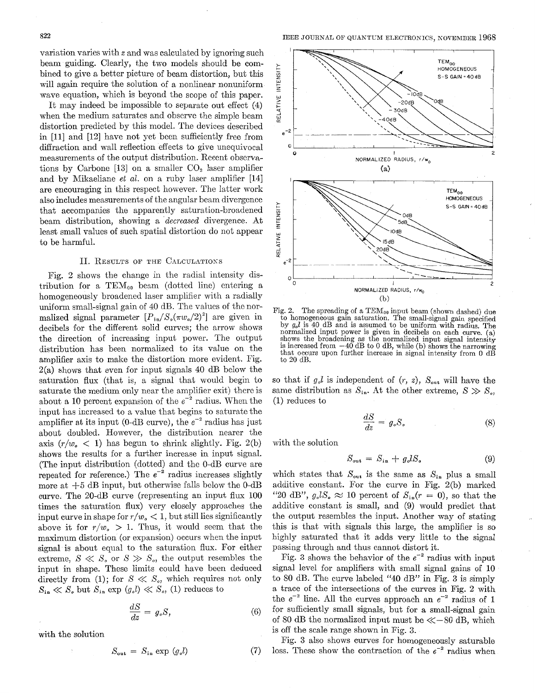variation varies with *x* and was calculated by ignoring such beam guiding. Clearly, the two models should be combined to give a better picture of beam distortion, but this will again require the solution of a nonlinear nonuniform wave equation, which is beyond the scope of this paper.

It may indeed be impossible to separate out effect (4) when the medium saturates and observe the simple beam distortion predicted by this model. The devices described in [ll] and [12] have not yet been sufficiently free from diffraction and wall reflection effects to give unequivocal measurements of the output distribution. Recent observations by Carbone [13] on a smaller  $CO<sub>2</sub>$  laser amplifier and by Mikaeliane *et ai.* on a ruby laser amplifier [14] are encouraging in this respect however. The latter work also includes measurements of the angular beam divergence that accompanies the apparently saturation-broadened beam distribution, showing a *'decreased* divergence. At least small values of such spatial distortion do not appear to be harmful.

## II. RESULTS OF THE CALCULATIONS

Fig. 2 shows the change in the radial intensity distribution for a  $TEM_{00}$  beam (dotted line) entering a homogeneously broadened laser amplifier with a radially uniform small-signal gain of 40 dB. The values of the normalized signal parameter  $[P_{in}/S_{\circ}(\pi w_{\circ}/2)^{2}]$  are given in decibels for the different solid curves; the arrow shows the direction of increasing input power. The output distribution has been normalized to its value on the amplifier axis to make the distortion more evident. Fig.  $2(a)$  shows that even for input signals 40 dB below the saturation flux (that is, a signal that would begin to saturate the medium only near the amplifier exit) there is about a 10 percent expansion of the  $e^{-2}$  radius. When the input has increased to a value that begins to saturate the amplifier at its input (0-dB curve), the  $e^{-2}$  radius has just about doubled. However, the distribution nearer the axis  $(r/w_{\alpha} < 1)$  has begun to shrink slightly. Fig. 2(b) shows the results for a further increase in input signal. (The input distribution (dotted) and the O-dB curve are repeated for reference.) The  $e^{-2}$  radius increases slightly more at  $+5$  dB input, but otherwise falls below the 0-dB curve. The 20-dB curve (representing an input flux 100 times the saturation flux) very closely approaches the input curve in shape for  $r/w_{\alpha} < 1$ , but still lies significantly above it for  $r/w_{\sigma} > 1$ . Thus, it would seem that the maximum distortion (or expansion) occurs when the input signal is about equal to the saturation flux. For either extreme,  $S \ll S$ , or  $S \gg S$ , the output resembles the input in shape. These limits could have been deduced directly from (1); for  $S \ll S_o$ , which requires not only  $S_{\text{in}} \ll S_{\text{e}}$  but  $S_{\text{in}}$  exp  $(g_{\text{e}}l) \ll S_{\text{e}}$ , (1) reduces to  $\frac{dS}{dz} = g_{\text{e}}S$ ,

$$
\frac{dS}{dz} = g_o S, \tag{6}
$$

with the solution

$$
S_{\text{out}} = S_{\text{in}} \exp(g_o l) \tag{7}
$$

**IEEE JOURNAL OF QUANTUM ELECTRONICS, NOVEMBER 1968** 



Fig. 2. The spreading of a TEM<sub>00</sub> input beam (shown dashed) due to homogeneous gain saturation. The small-signal gain specified by  $g_o l$  is 40 dB and is assumed to be uniform with radius. The normalized input power is given in decibels on each curve. (a) shows the broadening as the normalized input signal intensity is increased from  $-40$  dB to 0 dB, while (b) shows the narrowing that occurs upon further increase in signal intensity from 0 dB to *20* dB.

so that if  $g<sub>s</sub>l$  is independent of  $(r, z)$ ,  $S_{out}$  will have the same distribution as  $S_{in}$ . At the other extreme,  $S \gg S_{in}$ , (1) reduces to

$$
\frac{dS}{dz} = g_o S_o \tag{8}
$$

with the solution

$$
S_{\rm out} = S_{\rm in} + g_o l S_o \tag{9}
$$

which states that  $S_{\text{out}}$  is the same as  $S_{\text{in}}$  plus a small additive constant. For the curve in Fig. 2(b) marked "20 dB",  $g<sub>s</sub> lS<sub>s</sub> \approx 10$  percent of  $S<sub>in</sub>(r = 0)$ , so that the additive constant is small, and (9) would predict that the output resembles the input. Another way of stating this is that with signals this large, the amplifier is so highly saturated that it adds very little to the signal passing through and thus cannot distort it.

Fig. 3 shows the behavior of the  $e^{-2}$  radius with input signal level for anzplifiers with small signal gains of 10 to SO dB. The curve labeled "40 dB" in Fig. **3** is simply a trace of the intersections of the curves in Fig. *2* with the  $e^{-2}$  line. All the curves approach an  $e^{-2}$  radius of 1 for sufficiently small signals, but for **a** small-signal gain of 80 dB the normalized input must be  $\ll$  -80 dB, which is off the scale range shown in Fig. 3.

Fig. **3** also shows curves for homogeneously saturable loss. These show the contraction of the  $e^{-2}$  radius when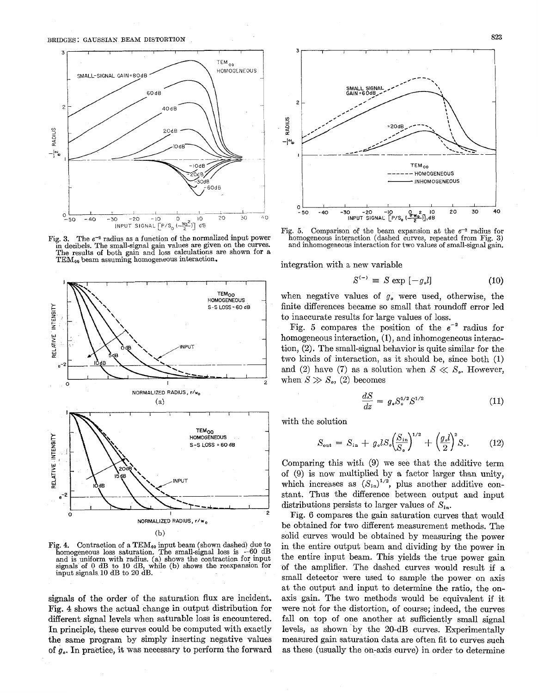

Fig. 3. The  $e^{-2}$  radius as a function of the normalized input power<br>in decibels. The small-signal gain values are given on the curves.<br>The results of both gain and loss calculations are shown for a<br>TEM<sub>99</sub> beam assuming



Fig. 4. Contraction of a TEM<sub>00</sub> input beam (shown dashed) due to homogeneous loss saturation. The small-signal loss is  $-60$  dB and is uniform with radius. (a) shows the contraction for input signals' of 0 dB to 10 dB, while (b) shows the reexpansion for input signals. 10 dB to 20 dB.

signals of the order of the saturation flux are incident. Fig. **4** shows the actual change in output distribution for different signal levels when saturable loss is encountered. In principle, these curves could be computed with exactly the same program by simply inserting negative values of **go.** In practice, it was necessary to perform the forward



Fig. 5. Comparison of the beam expansion at the  $e^{-2}$  radius for homogeneous interaction (dashed curves, repeated from Fig. **3)**  and inhomogeneous interaction for two values of small-signal gain.

integration with a new variable

$$
S^{(-)} \equiv S \exp[-g_o l] \tag{10}
$$

when negative values of  $g_{\rho}$  were used, otherwise, the finite differences became so small that roundoff error led to inaccurate results for large values of loss.

Fig. 5 compares the position of the  $e^{-2}$  radius for homogeneous interaction, (1), and inhomogeneous interaction, (2). The small-signal behavior is quite similar for the two kinds of interaction, as it should be, since both **(1)**  and (2) have (7) as a solution when  $S \ll S_{\rm o}$ . However, when  $S \gg S_o$ , (2) becomes

$$
\frac{dS}{dz} = g_s S_s^{1/2} S^{1/2}
$$
\n(11)

with the solution

$$
S_{\text{out}} = S_{\text{in}} + g_o l S_o \left(\frac{S_{\text{in}}}{S_o}\right)^{1/2} + \left(\frac{g_o l}{2}\right)^2 S_o. \tag{12}
$$

Comparing this with (9) we see that the additive term of (9) is now multiplied by a factor larger than unity, which increases as  $(S_{in})^{1/2}$ , plus another additive constant. Thus the difference between output and input distributions persists to larger values of  $S_{in}$ .

Fig. 6 compares the gain saturation curves that would be obtained for two different measurement methods. The solid curves would be obtained by measuring the power in the entire output beam and dividing by the power in the entire input beam. This yields the true power gain of the amplifier. The dashed curves would result if a small detector were used to sample the power on axis at the output and input to determine the ratio, the onaxis gain. The two methods would be equivalent if it were not for the distortion, of course; indeed, the curves fall on top of one another at sufficiently small signal levels, as shown 'by the 20-dB curves. Experimentally measured gain saturation data are often fit to curves such as these (usually the on-axis curve) in order to determine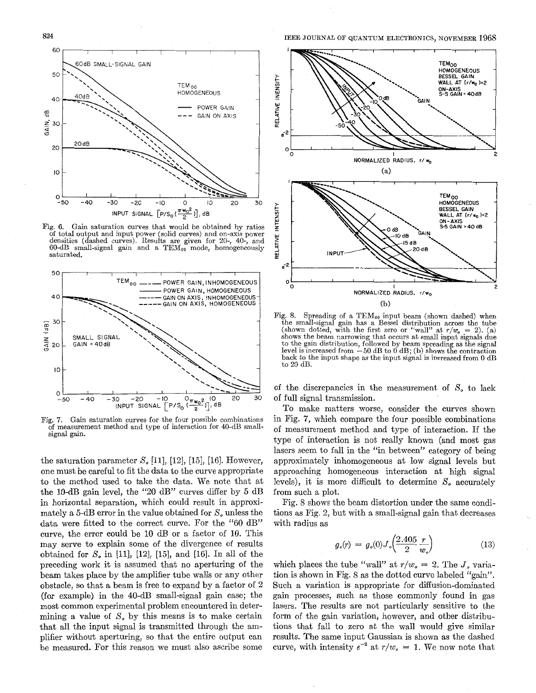

Fig. 6. Gain saturation curves that would be obtained by ratios of total output and input power (solid curves) and on-axis power densities (dashed curves). Results are given for 20-, 40-, and 60-dB small-signal gain and a TEMoo mode, homogeneously saturated.



Fig. 7. Gain saturation curves for the four possible combinations of measurement method and type of interaction for 40-dB smallsignal gain.

the saturation parameter  $S_{\epsilon}$  [11], [12], [15], [16]. However, one must be careful to fit the data to the curve appropriate to the method used to take the data. We note that at the 10-dB gain level, the "20 dB" curves differ by *5* dB in horizontal separation, which could result in approximately a 5-dB error in the value obtained for  $S<sub>o</sub>$  unless the data were fitted to the correct curve. For the "60 dB" curve, the error could be 10 dB or a factor of 10. This may serve to explain some of the divergence of results obtained for *So* in [ll], **[12],** [15], and [16]. In all of the preceding work it is assumed that no aperturing of the beam takes place by the amplifier tube walls or any other obstacle, so that a beam is free to expand by a factor of 2 (for example) in the 40-dB small-signal gain case; the most common experimental problem encountered in determining a value of  $S<sub>o</sub>$  by this means is to make certain that all the input signal is transmitted through the amplifier without aperturing, so that the entire output can be measured. For this reason we must also ascribe some



Fig. 8. Spreading of a TEM<sub>00</sub> input beam (shown dashed) when the small-signal gain has a Bessel distribution across the tube (shown dotted, with the first zero or "wall" at  $r/w_o = 2$ ). (a) shows the beam narrowing that occurs at small input signals due to the gain distribution, followed by beam spreading as the signal level is increased from  $-50$  dB to 0 dB; (b) shows the contraction back to the input shape as the input signal is increased from *0* dB to 20 dB.

of the discrepancies in the measurement of *So* to lack of full signal transmission.

To make matters worse, consider the curves shown in Fig. *7,* which compare the four possible combinations of measurement method and type of interaction. If the type of interaction is not really known (and most gas lasers seem to fall in the "in between" category of being approximately inhomogeneous at low signal levels but approaching homogeneous interaction at high signal levels), it is more difficult to determine  $S<sub>o</sub>$  accurately from such a plot.

Fig. 8 shows the beam distortion under the same conditions as Fig. 2, but with a small-signal gain that decreases with radius as

$$
g_o(r) = g_o(0) J_o \left( \frac{2.405}{2} \frac{r}{w_o} \right) \tag{13}
$$

which places the tube "wall" at  $r/w_e = 2$ . The  $J_e$  variation is shown in Fig. 8 as the dotted curve labeled "gain". Such a variation is appropriate for diffusion-dominated gain processes, such as those commonly found in gas lasers. The results are not particularly sensitive to the form of the gain variation, however, and other distributions that fall to zero at the wall would give similar results. The same input Gaussian is shown as the dashed curve, with intensity  $e^{-2}$  at  $r/w_e = 1$ . We now note that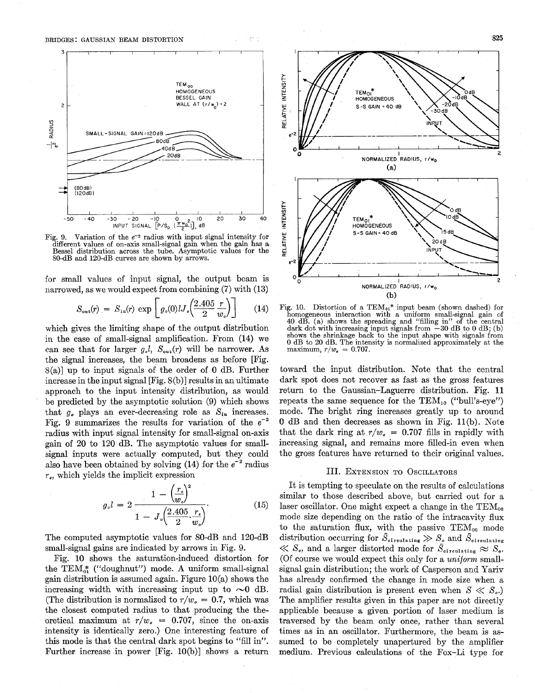

Fig. 9. Variation of the  $e^{-2}$  radius with input signal intensity for different values of on-axis small-signal gain when the gain has a Bessel distribution across the tube. Asymptotic values for the SO-dB and 120-dB curves are shown by arrows.

for small values of input signal, the output beam is narrowed, as we would expect from combining **(7)** with (13)

$$
S_{\rm out}(r) = S_{\rm in}(r) \exp \left[ g_o(0) U_o \left( \frac{2.405}{2} \frac{r}{w_o} \right) \right] \qquad (14)
$$

which gives the limiting shape of the output distribution in the case of small-signal amplification. From (14) we can see that for larger  $g_{\rho}l$ ,  $S_{\text{out}}(r)$  will be narrower. As the signal increases, the beam broadens as before [Fig. S(a)] up to input signals of the order of 0 dB. Further increase in the input signal [Fig. 8(b)] results in an ultimate approach to the input intensity distribution, as would be predicted by the asymptotic solution (9) which shows that  $g_{\rho}$  plays an ever-decreasing role as  $S_{i_n}$  increases. Fig. 9 summarizes the results for variation of the  $e^{-2}$ radius with input signal intensity for small-signal on-axis gain of 20 to 120 *dB.* The asymptotic values for smallsignal inputs were actually computed, but they could also have been obtained by solving  $(14)$  for the  $e^{-2}$  radius **re,** which yields the implicit expression

$$
g_{\circ}l = 2 \frac{1 - \left(\frac{r_{\circ}}{w_{\circ}}\right)^{2}}{1 - J_{\circ}\left(\frac{2.405}{2} \cdot \frac{r_{\circ}}{w_{\circ}}\right)}.
$$
(15)

The computed asymptotic values for 80-dB and 120-dB small-signal gains are indicated by arrows in Fig. 9.

Fig. 10 shows the saturation-induced distortion for the  $TEM_{01}^*$  ("doughnut") mode. A uniform small-signal gain distribution is assumed again. Figure  $10(a)$  shows the increasing width with increasing input up to  $\sim 0$  dB. (The distribution is normalized to  $r/w_e = 0.7$ , which was the closest computed radius to that producing the theoretical maximum at  $r/w<sub>o</sub> = 0.707$ , since the on-axis intensity is identically zero.) One interesting feature of this mode is that the central dark spot begins to "fill in". Further increase in power  $[Fig. 10(b)]$  shows a return



Fig. 10. Distortion of a TEM $_{01}$ <sup>\*</sup> input beam (shown dashed) for homogeneous interaction with a uniform small-signal gain of 40 dB. (a) shows the spreading and "filling in" of the central dark dot with increasing input signals from  $-30$  dB to 0 dB; (b) shows the shrinkage back to the input shape with signals from *0* dB to **20** dB. The intensity is normalized approximately at the maximum,  $r/w_{0} = 0.707$ .

toward the input distribution. Note that the central dark spot does not recover as fast as the gross features return to the Gaussian-Laguerre distribution. Fig. **11**  repeats the same sequence for the  $TEM_{10}$  ("bull's-eye") mode. The bright ring increases greatly up to around 0 dB and then decreases as shown in Fig. ll(b). Note that the dark ring at  $r/w_0 = 0.707$  fills in rapidly with increasing signal, and remains more filled-in even when the gross features have returned to their original values,

#### 111. EXTENSION TO OSCILLATORS

It is tempting to speculate on the results of calculations similar to those described above, but carried out for a laser oscillator. One might expect a change in the  $TEM_{00}$ mode size depending on the ratio of the intracavity flux to the saturation flux, with the passive  $TEM_{00}$  mode distribution occurring for  $\bar{S}_{\text{circularing}} \gg S_{\text{o}}$  and  $\bar{S}_{\text{circularing}}$  $\ll S_o$ , and a larger distorted mode for  $\bar{S}_{\text{circulating}} \approx S_o$ . (Of course we would expect this only for a *uniform* smallsignal gain distribution; the work of Casperson and Yariv has already confirmed the change in mode size when a radial gain distribution is present even when  $S \ll S_{\alpha}$ .) The amplifier results given in this paper are not directly applicable because a given portion of laser medium is traversed by the beam only once, rather than several times as in an oscillator. Furthermore, the beam is assumed to be completely unapertured by the amplifier medium. Previous calculations of the Fox-Li type for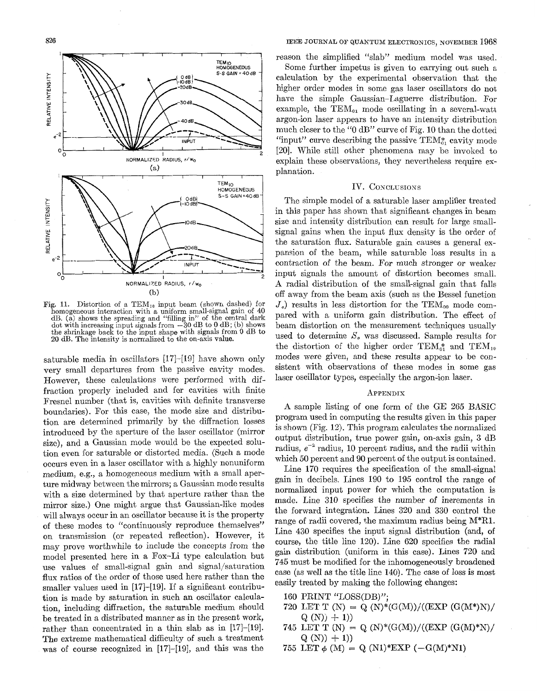

Fig. 11. Distortion of a  $TEM_{10}$  input beam (shown dashed) for homogeneous interaction with a uniform small-signal gain of 40 dB. (a) shows the spreading and "filling in" of the central dark dot with increasing input signals from **-30** dB to 0 dB; (b) shows the shrinkage back to the input shape with signals from 0 dB to 20 dB. The intensity is normalized to the on-axis value.

saturable media in oscillators [17]-[19] have shown only very small departures from the passive cavity modes. However, these calculations were performed with diffraction properly included and for cavities with finite Fresnel number (that is, cavities with definite transverse boundaries). For this case, the mode size and distribution are determined primarily by the diffraction losses introduced by the aperture of the laser oscillator (mirror size), and a Gaussian mode would be the expected solution even for saturable or distorted media. (Such a mode occurs even in a laser oscillator with a highly nonuniform medium, e.g., a homogeneous medium with a small aperture midway between the mirrors; a Gaussian mode results with a size determined by that aperture rather than the mirror size.) One might argue that Gaussian-like modes will always occur in an oscillator because it is the property of these modes to "continuously reproduce themselves" on transmission (or repeated reflection). However, it may prove worthwhile to include the concepts from the model presented here in a Fox-Li type calculation but use values of small-signal gain and signal/saturation flux ratios of the order of those used here rather than the smaller values used in [17]-[19]. If a significant contribution is made by saturation in such an oscillator calculation, including diffraction, the saturable medium should be treated in a distributed manner as in the present work, rather than concentrated in a thin slab as in [17]-[19]. The extreme mathematical difficulty of such a treatment was of course recognized in [17]-[19], and this was the

reason the simplified "slab" medium model was used.

Some further impetus is given to carrying out such a calculation by the experimental observation that the higher order modes in some gas laser oscillators do not have the simple Gaussian-Laguerre distribution. For example, the  $TEM_{01}$  mode oscillating in a several-watt argon-ion laser appears to have an intensity distribution much closer to the "0 dB" curve of Pig. 10 than the dotted "input" curve describing the passive  $TEM_{0}^{*}$  cavity mode [20]. While still other phenomena may be invoked to explain these observations, they nevertheless require explanation.

## IV. CONCLUSIONS

The simple model of a saturable laser amplifier treated in this paper has shown that significant changes in beam size and intensity distribution can result for large smallsignal gains when the input flux density is the order of the saturation flux. Saturable gain causes a general expansion of the beam, while saturable loss results in *<sup>B</sup>* contraction of the beam. For much stronger or weaker input signals the amount of distortion becomes small. A radial distribution of the small-signal gain that falls off away from the beam axis (such as the Bessel function  $J<sub>e</sub>$ ) results in less distortion for the TEM<sub>00</sub> mode compared with a uniform gain distribution. The effect of beam distortion on the measurement techniques usually used to determine *8,* was discussed. Sample results for the distortion of the higher order TEM<sub>4</sub><sup>2</sup> and TEM<sub>10</sub> modes were given, and these results appear to be consistent with observations of these modes in some gas laser oscillator types, especially the argon-ion laser.

#### APPENDIX

**A** sample listing of one form of the GE 265 BASIC program used in computing the results given in this paper is shown (Fig.  $12$ ). This program calculates the normalized output distribution, true power gain, on-axis gain, 3 dB radius,  $e^{-2}$  radius, 10 percent radius, and the radii within which 50 percent and 90 percent of the output is contained.

Line 170 requires the specification of the small-signal gain in decibels. Lines 190 to 195 control the range of normalized input power for which the computation is made. Line 310 specifies the number of increments in the forward integration. Lines 320 and 330 control the range of radii covered, the maximum radius being M\*Rl. Line 430 specifies the input signal distribution (and, of course, the title line 120). Line 620 specifies the radial gain distribution (uniform in this case). Lines 720 and 745 must be modified for the inhomogeneously broadened case (as well as the title line 140). The case of loss is most easily treated by making the following changes:

- 160 PRINT "LOSS(DB)";
- 720 LET T (N) = Q (N)\*(G(M))/((EXP (G(M\*)N)/  $Q(N)$   $+ 1)$
- 745 LET T (N) = Q (N)\*(G(M))/((EXP (G(M)\*N)/  $Q(N)$  + 1)
- 755 LET  $\phi$  (M) = Q (N1)\*EXP (-G(M)\*N1)